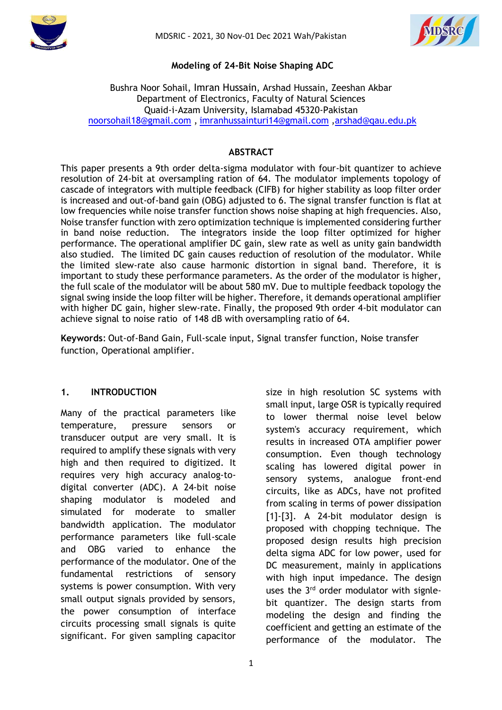



## **Modeling of 24-Bit Noise Shaping ADC**

## Bushra Noor Sohail, Imran Hussain, Arshad Hussain, Zeeshan Akbar Department of Electronics, Faculty of Natural Sciences Quaid-i-Azam University, Islamabad 45320-Pakistan [noorsohail18@gmail.com](mailto:%20m.ahmad.qau@gmail.com) , [imranhussainturi14@gmail.com](mailto:imranhussainturi14@gmail.com) [,arshad@qau.edu.pk](mailto:arshad@qau.edu.pk)

## **ABSTRACT**

This paper presents a 9th order delta-sigma modulator with four-bit quantizer to achieve resolution of 24-bit at oversampling ration of 64. The modulator implements topology of cascade of integrators with multiple feedback (CIFB) for higher stability as loop filter order is increased and out-of-band gain (OBG) adjusted to 6. The signal transfer function is flat at low frequencies while noise transfer function shows noise shaping at high frequencies. Also, Noise transfer function with zero optimization technique is implemented considering further in band noise reduction. The integrators inside the loop filter optimized for higher performance. The operational amplifier DC gain, slew rate as well as unity gain bandwidth also studied. The limited DC gain causes reduction of resolution of the modulator. While the limited slew-rate also cause harmonic distortion in signal band. Therefore, it is important to study these performance parameters. As the order of the modulator is higher, the full scale of the modulator will be about 580 mV. Due to multiple feedback topology the signal swing inside the loop filter will be higher. Therefore, it demands operational amplifier with higher DC gain, higher slew-rate. Finally, the proposed 9th order 4-bit modulator can achieve signal to noise ratio of 148 dB with oversampling ratio of 64.

**Keywords**: Out-of-Band Gain, Full-scale input, Signal transfer function, Noise transfer function, Operational amplifier.

## **1. INTRODUCTION**

Many of the practical parameters like temperature, pressure sensors or transducer output are very small. It is required to amplify these signals with very high and then required to digitized. It requires very high accuracy analog-todigital converter (ADC). A 24-bit noise shaping modulator is modeled and simulated for moderate to smaller bandwidth application. The modulator performance parameters like full-scale and OBG varied to enhance the performance of the modulator. One of the fundamental restrictions of sensory systems is power consumption. With very small output signals provided by sensors, the power consumption of interface circuits processing small signals is quite significant. For given sampling capacitor

size in high resolution SC systems with small input, large OSR is typically required to lower thermal noise level below system's accuracy requirement, which results in increased OTA amplifier power consumption. Even though technology scaling has lowered digital power in sensory systems, analogue front-end circuits, like as ADCs, have not profited from scaling in terms of power dissipation [1]-[3]. A 24-bit modulator design is proposed with chopping technique. The proposed design results high precision delta sigma ADC for low power, used for DC measurement, mainly in applications with high input impedance. The design uses the 3<sup>rd</sup> order modulator with signlebit quantizer. The design starts from modeling the design and finding the coefficient and getting an estimate of the performance of the modulator. The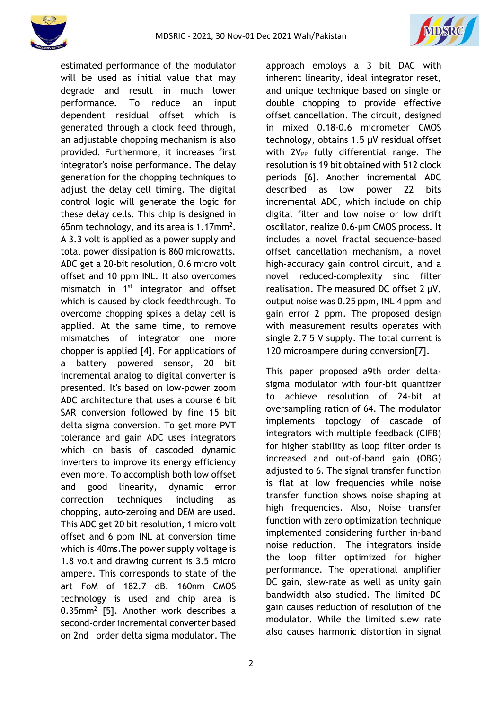



estimated performance of the modulator will be used as initial value that may degrade and result in much lower performance. To reduce an input dependent residual offset which is generated through a clock feed through, an adjustable chopping mechanism is also provided. Furthermore, it increases first integrator's noise performance. The delay generation for the chopping techniques to adjust the delay cell timing. The digital control logic will generate the logic for these delay cells. This chip is designed in 65nm technology, and its area is 1.17mm<sup>2</sup>. A 3.3 volt is applied as a power supply and total power dissipation is 860 microwatts. ADC get a 20-bit resolution, 0.6 micro volt offset and 10 ppm INL. It also overcomes mismatch in 1<sup>st</sup> integrator and offset which is caused by clock feedthrough. To overcome chopping spikes a delay cell is applied. At the same time, to remove mismatches of integrator one more chopper is applied [4]. For applications of a battery powered sensor, 20 bit incremental analog to digital converter is presented. It's based on low-power zoom ADC architecture that uses a course 6 bit SAR conversion followed by fine 15 bit delta sigma conversion. To get more PVT tolerance and gain ADC uses integrators which on basis of cascoded dynamic inverters to improve its energy efficiency even more. To accomplish both low offset and good linearity, dynamic error correction techniques including as chopping, auto-zeroing and DEM are used. This ADC get 20 bit resolution, 1 micro volt offset and 6 ppm INL at conversion time which is 40ms.The power supply voltage is 1.8 volt and drawing current is 3.5 micro ampere. This corresponds to state of the art FoM of 182.7 dB. 160nm CMOS technology is used and chip area is 0.35mm<sup>2</sup> [5]. Another work describes a second-order incremental converter based on 2nd order delta sigma modulator. The

approach employs a 3 bit DAC with inherent linearity, ideal integrator reset, and unique technique based on single or double chopping to provide effective offset cancellation. The circuit, designed in mixed 0.18-0.6 micrometer CMOS technology, obtains 1.5 µV residual offset with  $2V_{PP}$  fully differential range. The resolution is 19 bit obtained with 512 clock periods [6]. Another incremental ADC described as low power 22 bits incremental ADC, which include on chip digital filter and low noise or low drift oscillator, realize 0.6-µm CMOS process. It includes a novel fractal sequence-based offset cancellation mechanism, a novel high-accuracy gain control circuit, and a novel reduced-complexity sinc filter realisation. The measured DC offset 2 µV, output noise was 0.25 ppm, INL 4 ppm and gain error 2 ppm. The proposed design with measurement results operates with single 2.7 5 V supply. The total current is 120 microampere during conversion[7].

This paper proposed a9th order deltasigma modulator with four-bit quantizer to achieve resolution of 24-bit at oversampling ration of 64. The modulator implements topology of cascade of integrators with multiple feedback (CIFB) for higher stability as loop filter order is increased and out-of-band gain (OBG) adjusted to 6. The signal transfer function is flat at low frequencies while noise transfer function shows noise shaping at high frequencies. Also, Noise transfer function with zero optimization technique implemented considering further in-band noise reduction. The integrators inside the loop filter optimized for higher performance. The operational amplifier DC gain, slew-rate as well as unity gain bandwidth also studied. The limited DC gain causes reduction of resolution of the modulator. While the limited slew rate also causes harmonic distortion in signal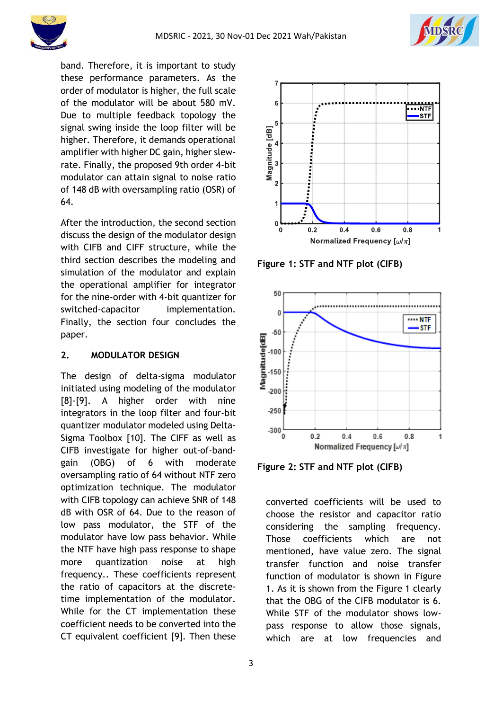



band. Therefore, it is important to study these performance parameters. As the order of modulator is higher, the full scale of the modulator will be about 580 mV. Due to multiple feedback topology the signal swing inside the loop filter will be higher. Therefore, it demands operational amplifier with higher DC gain, higher slewrate. Finally, the proposed 9th order 4-bit modulator can attain signal to noise ratio of 148 dB with oversampling ratio (OSR) of 64.

After the introduction, the second section discuss the design of the modulator design with CIFB and CIFF structure, while the third section describes the modeling and simulation of the modulator and explain the operational amplifier for integrator for the nine-order with 4-bit quantizer for switched-capacitor implementation. Finally, the section four concludes the paper.

## **2. MODULATOR DESIGN**

The design of delta-sigma modulator initiated using modeling of the modulator [8]-[9]. A higher order with nine integrators in the loop filter and four-bit quantizer modulator modeled using Delta-Sigma Toolbox [10]. The CIFF as well as CIFB investigate for higher out-of-bandgain (OBG) of 6 with moderate oversampling ratio of 64 without NTF zero optimization technique. The modulator with CIFB topology can achieve SNR of 148 dB with OSR of 64. Due to the reason of low pass modulator, the STF of the modulator have low pass behavior. While the NTF have high pass response to shape more quantization noise at high frequency.. These coefficients represent the ratio of capacitors at the discretetime implementation of the modulator. While for the CT implementation these coefficient needs to be converted into the CT equivalent coefficient [9]. Then these



**Figure 1: STF and NTF plot (CIFB)**



**Figure 2: STF and NTF plot (CIFB)**

converted coefficients will be used to choose the resistor and capacitor ratio considering the sampling frequency. Those coefficients which are not mentioned, have value zero. The signal transfer function and noise transfer function of modulator is shown in Figure 1. As it is shown from the Figure 1 clearly that the OBG of the CIFB modulator is 6. While STF of the modulator shows lowpass response to allow those signals, which are at low frequencies and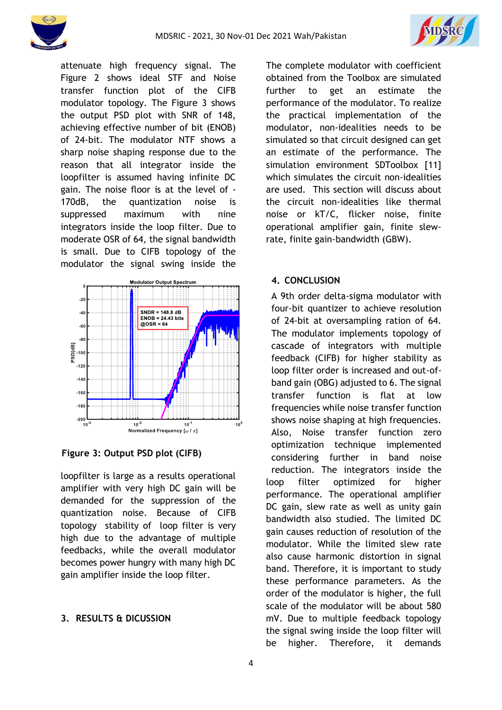



attenuate high frequency signal. The Figure 2 shows ideal STF and Noise transfer function plot of the CIFB modulator topology. The Figure 3 shows the output PSD plot with SNR of 148, achieving effective number of bit (ENOB) of 24-bit. The modulator NTF shows a sharp noise shaping response due to the reason that all integrator inside the loopfilter is assumed having infinite DC gain. The noise floor is at the level of - 170dB, the quantization noise is suppressed maximum with nine integrators inside the loop filter. Due to moderate OSR of 64, the signal bandwidth is small. Due to CIFB topology of the modulator the signal swing inside the



**Figure 3: Output PSD plot (CIFB)**

loopfilter is large as a results operational amplifier with very high DC gain will be demanded for the suppression of the quantization noise. Because of CIFB topology stability of loop filter is very high due to the advantage of multiple feedbacks, while the overall modulator becomes power hungry with many high DC gain amplifier inside the loop filter.

# **3. RESULTS & DICUSSION**

The complete modulator with coefficient obtained from the Toolbox are simulated further to get an estimate the performance of the modulator. To realize the practical implementation of the modulator, non-idealities needs to be simulated so that circuit designed can get an estimate of the performance. The simulation environment SDToolbox [11] which simulates the circuit non-idealities are used. This section will discuss about the circuit non-idealities like thermal noise or kT/C, flicker noise, finite operational amplifier gain, finite slewrate, finite gain-bandwidth (GBW).

# **4. CONCLUSION**

A 9th order delta-sigma modulator with four-bit quantizer to achieve resolution of 24-bit at oversampling ration of 64. The modulator implements topology of cascade of integrators with multiple feedback (CIFB) for higher stability as loop filter order is increased and out-ofband gain (OBG) adjusted to 6. The signal transfer function is flat at low frequencies while noise transfer function shows noise shaping at high frequencies. Also, Noise transfer function zero optimization technique implemented considering further in band noise reduction. The integrators inside the loop filter optimized for higher performance. The operational amplifier DC gain, slew rate as well as unity gain bandwidth also studied. The limited DC gain causes reduction of resolution of the modulator. While the limited slew rate also cause harmonic distortion in signal band. Therefore, it is important to study these performance parameters. As the order of the modulator is higher, the full scale of the modulator will be about 580 mV. Due to multiple feedback topology the signal swing inside the loop filter will be higher. Therefore, it demands